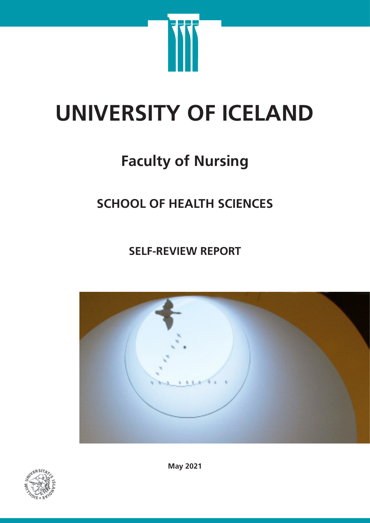

# **UNIVERSITY OF ICELAND**

## **Faculty of Nursing**

### **SCHOOL OF HEALTH SCIENCES**

**SELF-REVIEW REPORT**





**May 2021**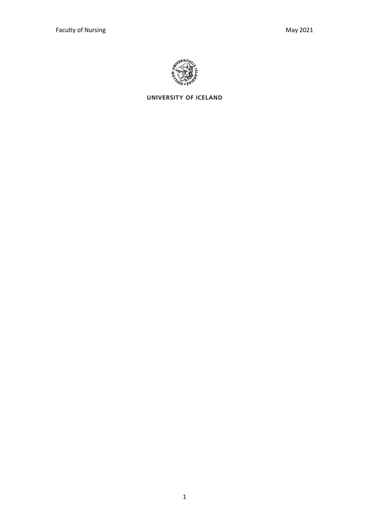

UNIVERSITY OF ICELAND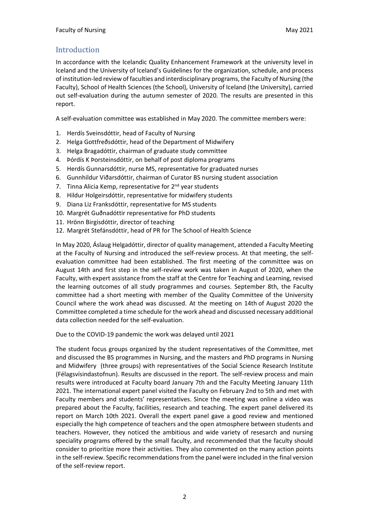#### Introduction

In accordance with the Icelandic Quality Enhancement Framework at the university level in Iceland and the University of Iceland's Guidelines for the organization, schedule, and process of institution-led review of faculties and interdisciplinary programs, the Faculty of Nursing (the Faculty), School of Health Sciences (the School), University of Iceland (the University), carried out self-evaluation during the autumn semester of 2020. The results are presented in this report.

A self-evaluation committee was established in May 2020. The committee members were:

- 1. Herdís Sveinsdóttir, head of Faculty of Nursing
- 2. Helga Gottfreðsdóttir, head of the Department of Midwifery
- 3. Helga Bragadóttir, chairman of graduate study committee
- 4. Þórdís K Þorsteinsdóttir, on behalf of post diploma programs
- 5. Herdís Gunnarsdóttir, nurse MS, representative for graduated nurses
- 6. Gunnhildur Viðarsdóttir, chairman of Curator BS nursing student association
- 7. Tinna Alicia Kemp, representative for 2<sup>nd</sup> year students
- 8. Hildur Holgeirsdóttir, representative for midwifery students
- 9. Diana Liz Franksdóttir, representative for MS students
- 10. Margrét Guðnadóttir representative for PhD students
- 11. Hrönn Birgisdóttir, director of teaching
- 12. Margrét Stefánsdóttir, head of PR for The School of Health Science

In May 2020, Áslaug Helgadóttir, director of quality management, attended a Faculty Meeting at the Faculty of Nursing and introduced the self-review process. At that meeting, the selfevaluation committee had been established. The first meeting of the committee was on August 14th and first step in the self-review work was taken in August of 2020, when the Faculty, with expert assistance from the staff at the Centre for Teaching and Learning, revised the learning outcomes of all study programmes and courses. September 8th, the Faculty committee had a short meeting with member of the Quality Committee of the University Council where the work ahead was discussed. At the meeting on 14th of August 2020 the Committee completed a time schedule for the work ahead and discussed necessary additional data collection needed for the self-evaluation.

Due to the COVID-19 pandemic the work was delayed until 2021

The student focus groups organized by the student representatives of the Committee, met and discussed the BS programmes in Nursing, and the masters and PhD programs in Nursing and Midwifery (three groups) with representatives of the Social Science Research Institute (Félagsvísindastofnun). Results are discussed in the report. The self-review process and main results were introduced at Faculty board January 7th and the Faculty Meeting January 11th 2021. The international expert panel visited the Faculty on February 2nd to 5th and met with Faculty members and students' representatives. Since the meeting was online a video was prepared about the Faculty, facilities, research and teaching. The expert panel delivered its report on March 10th 2021. Overall the expert panel gave a good review and mentioned especially the high competence of teachers and the open atmosphere between students and teachers. However, they noticed the ambitious and wide variety of resesarch and nursing speciality programs offered by the small faculty, and recommended that the faculty should consider to prioritize more their activities. They also commented on the many action points in the self-review. Specific recommendations from the panel were included in the final version of the self-review report.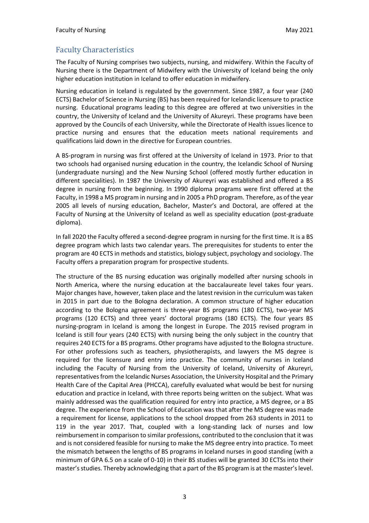#### Faculty Characteristics

The Faculty of Nursing comprises two subjects, nursing, and midwifery. Within the Faculty of Nursing there is the Department of Midwifery with the University of Iceland being the only higher education institution in Iceland to offer education in midwifery.

Nursing education in Iceland is regulated by the government. Since 1987, a four year (240 ECTS) Bachelor of Science in Nursing (BS) has been required for Icelandic licensure to practice nursing. Educational programs leading to this degree are offered at two universities in the country, the University of Iceland and the University of Akureyri. These programs have been approved by the Councils of each University, while the Directorate of Health issues licence to practice nursing and ensures that the education meets national requirements and qualifications laid down in the directive for European countries.

A BS-program in nursing was first offered at the University of Iceland in 1973. Prior to that two schools had organised nursing education in the country, the Icelandic School of Nursing (undergraduate nursing) and the New Nursing School (offered mostly further education in different specialities). In 1987 the University of Akureyri was established and offered a BS degree in nursing from the beginning. In 1990 diploma programs were first offered at the Faculty, in 1998 a MS program in nursing and in 2005 a PhD program. Therefore, as of the year 2005 all levels of nursing education, Bachelor, Master's and Doctoral, are offered at the Faculty of Nursing at the University of Iceland as well as speciality education (post-graduate diploma).

In fall 2020 the Faculty offered a second-degree program in nursing for the first time. It is a BS degree program which lasts two calendar years. The prerequisites for students to enter the program are 40 ECTS in methods and statistics, biology subject, psychology and sociology. The Faculty offers a preparation program for prospective students.

The structure of the BS nursing education was originally modelled after nursing schools in North America, where the nursing education at the baccalaureate level takes four years. Major changes have, however, taken place and the latest revision in the curriculum was taken in 2015 in part due to the Bologna declaration. A common structure of higher education according to the Bologna agreement is three-year BS programs (180 ECTS), two-year MS programs (120 ECTS) and three years' doctoral programs (180 ECTS). The four years BS nursing-program in Iceland is among the longest in Europe. The 2015 revised program in Iceland is still four years (240 ECTS) with nursing being the only subject in the country that requires 240 ECTS for a BS programs. Other programs have adjusted to the Bologna structure. For other professions such as teachers, physiotherapists, and lawyers the MS degree is required for the licensure and entry into practice. The community of nurses in Iceland including the Faculty of Nursing from the University of Iceland, University of Akureyri, representatives from the Icelandic Nurses Association, the University Hospital and the Primary Health Care of the Capital Area (PHCCA), carefully evaluated what would be best for nursing education and practice in Iceland, with three reports being written on the subject. What was mainly addressed was the qualification required for entry into practice, a MS degree, or a BS degree. The experience from the School of Education was that after the MS degree was made a requirement for license, applications to the school dropped from 263 students in 2011 to 119 in the year 2017. That, coupled with a long-standing lack of nurses and low reimbursement in comparison to similar professions, contributed to the conclusion that it was and is not considered feasible for nursing to make the MS degree entry into practice. To meet the mismatch between the lengths of BS programs in Iceland nurses in good standing (with a minimum of GPA 6.5 on a scale of 0-10) in their BS studies will be granted 30 ECTSs into their master's studies. Thereby acknowledging that a part of the BS program is at the master's level.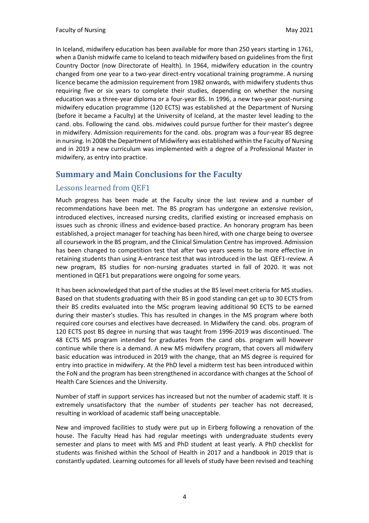In Iceland, midwifery education has been available for more than 250 years starting in 1761, when a Danish midwife came to Iceland to teach midwifery based on guidelines from the first Country Doctor (now Directorate of Health). In 1964, midwifery education in the country changed from one year to a two-year direct-entry vocational training programme. A nursing licence became the admission requirement from 1982 onwards, with midwifery students thus requiring five or six years to complete their studies, depending on whether the nursing education was a three-year diploma or a four-year BS. In 1996, a new two-year post-nursing midwifery education programme (120 ECTS) was established at the Department of Nursing (before it became a Faculty) at the University of Iceland, at the master level leading to the cand. obs. Following the cand. obs. midwives could pursue further for their master's degree in midwifery. Admission requirements for the cand. obs. program was a four-year BS degree in nursing. In 2008 the Department of Midwifery was established within the Faculty of Nursing and in 2019 a new curriculum was implemented with a degree of a Professional Master in midwifery, as entry into practice.

#### **Summary and Main Conclusions for the Faculty**

#### Lessons learned from QEF1

Much progress has been made at the Faculty since the last review and a number of recommendations have been met. The BS program has undergone an extensive revision, introduced electives, increased nursing credits, clarified existing or increased emphasis on issues such as chronic illness and evidence-based practice. An honorary program has been established, a project manager for teaching has been hired, with one charge being to oversee all coursework in the BS program, and the Clinical Simulation Centre has improved. Admission has been changed to competition test that after two years seems to be more effective in retaining students than using A-entrance test that was introduced in the last QEF1-review. A new program, BS studies for non-nursing graduates started in fall of 2020. It was not mentioned in QEF1 but preparations were ongoing for some years.

It has been acknowledged that part of the studies at the BS level meet criteria for MS studies. Based on that students graduating with their BS in good standing can get up to 30 ECTS from their BS credits evaluated into the MSc program leaving additional 90 ECTS to be earned during their master's studies. This has resulted in changes in the MS program where both required core courses and electives have decreased. In Midwifery the cand. obs. program of 120 ECTS post BS degree in nursing that was taught from 1996-2019 was discontinued. The 48 ECTS MS program intended for graduates from the cand obs. program will however continue while there is a demand. A new MS midwifery program, that covers all midwifery basic education was introduced in 2019 with the change, that an MS degree is required for entry into practice in midwifery. At the PhD level a midterm test has been introduced within the FoN and the program has been strengthened in accordance with changes at the School of Health Care Sciences and the University.

Number of staff in support services has increased but not the number of academic staff. It is extremely unsatisfactory that the number of students per teacher has not decreased, resulting in workload of academic staff being unacceptable.

New and improved facilities to study were put up in Eirberg following a renovation of the house. The Faculty Head has had regular meetings with undergraduate students every semester and plans to meet with MS and PhD student at least yearly. A PhD checklist for students was finished within the School of Health in 2017 and a handbook in 2019 that is constantly updated. Learning outcomes for all levels of study have been revised and teaching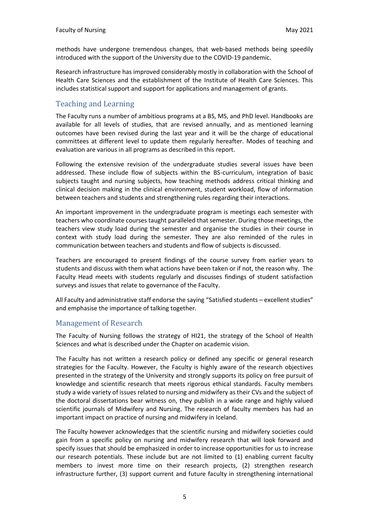methods have undergone tremendous changes, that web-based methods being speedily introduced with the support of the University due to the COVID-19 pandemic.

Research infrastructure has improved considerably mostly in collaboration with the School of Health Care Sciences and the establishment of the Institute of Health Care Sciences. This includes statistical support and support for applications and management of grants.

#### Teaching and Learning

The Faculty runs a number of ambitious programs at a BS, MS, and PhD level. Handbooks are available for all levels of studies, that are revised annually, and as mentioned learning outcomes have been revised during the last year and it will be the charge of educational committees at different level to update them regularly hereafter. Modes of teaching and evaluation are various in all programs as described in this report.

Following the extensive revision of the undergraduate studies several issues have been addressed. These include flow of subjects within the BS-curriculum, integration of basic subjects taught and nursing subjects, how teaching methods address critical thinking and clinical decision making in the clinical environment, student workload, flow of information between teachers and students and strengthening rules regarding their interactions.

An important improvement in the undergraduate program is meetings each semester with teachers who coordinate courses taught paralleled that semester. During those meetings, the teachers view study load during the semester and organise the studies in their course in context with study load during the semester. They are also reminded of the rules in communication between teachers and students and flow of subjects is discussed.

Teachers are encouraged to present findings of the course survey from earlier years to students and discuss with them what actions have been taken or if not, the reason why. The Faculty Head meets with students regularly and discusses findings of student satisfaction surveys and issues that relate to governance of the Faculty.

All Faculty and administrative staff endorse the saying "Satisfied students – excellent studies" and emphasise the importance of talking together.

#### Management of Research

The Faculty of Nursing follows the strategy of HI21, the strategy of the School of Health Sciences and what is described under the Chapter on academic vision.

The Faculty has not written a research policy or defined any specific or general research strategies for the Faculty. However, the Faculty is highly aware of the research objectives presented in the strategy of the University and strongly supports its policy on free pursuit of knowledge and scientific research that meets rigorous ethical standards. Faculty members study a wide variety of issues related to nursing and midwifery as their CVs and the subject of the doctoral dissertations bear witness on, they publish in a wide range and highly valued scientific journals of Midwifery and Nursing. The research of faculty members has had an important impact on practice of nursing and midwifery in Iceland.

The Faculty however acknowledges that the scientific nursing and midwifery societies could gain from a specific policy on nursing and midwifery research that will look forward and specify issues that should be emphasized in order to increase opportunities for us to increase our research potentials. These include but are not limited to (1) enabling current faculty members to invest more time on their research projects, (2) strengthen research infrastructure further, (3) support current and future faculty in strengthening international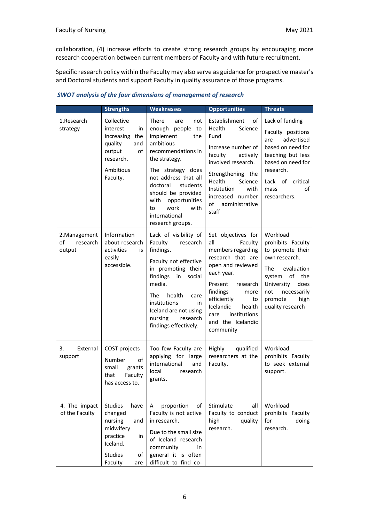collaboration, (4) increase efforts to create strong research groups by encouraging more research cooperation between current members of Faculty and with future recruitment.

Specific research policy within the Faculty may also serve as guidance for prospective master's and Doctoral students and support Faculty in quality assurance of those programs.

|                                           | <b>Strengths</b>                                                                                                                         | <b>Weaknesses</b>                                                                                                                                                                                                                                                                                     | <b>Opportunities</b>                                                                                                                                                                                                                                               | <b>Threats</b>                                                                                                                                                                                 |
|-------------------------------------------|------------------------------------------------------------------------------------------------------------------------------------------|-------------------------------------------------------------------------------------------------------------------------------------------------------------------------------------------------------------------------------------------------------------------------------------------------------|--------------------------------------------------------------------------------------------------------------------------------------------------------------------------------------------------------------------------------------------------------------------|------------------------------------------------------------------------------------------------------------------------------------------------------------------------------------------------|
| 1.Research<br>strategy                    | Collective<br>interest<br>in<br>increasing<br>the<br>quality<br>and<br>output<br>of<br>research.<br>Ambitious<br>Faculty.                | <b>There</b><br>are<br>not<br>enough people to<br>implement<br>the<br>ambitious<br>recommendations in<br>the strategy.<br>The strategy does<br>not address that all<br>doctoral<br>students<br>should be provided<br>with<br>opportunities<br>work<br>with<br>to<br>international<br>research groups. | Establishment<br>of<br>Health<br>Science<br>Fund<br>Increase number of<br>faculty<br>actively<br>involved research.<br>Strengthening the<br>Health<br>Science<br>Institution<br>with<br>increased number<br>of<br>administrative<br>staff                          | Lack of funding<br>Faculty positions<br>advertised<br>are<br>based on need for<br>teaching but less<br>based on need for<br>research.<br>Lack of critical<br>of<br>mass<br>researchers.        |
| 2. Management<br>οf<br>research<br>output | Information<br>about research<br>activities<br>is<br>easily<br>accessible.                                                               | Lack of visibility of<br>Faculty<br>research<br>findings.<br>Faculty not effective<br>in promoting their<br>findings<br>in<br>social<br>media.<br>health<br><b>The</b><br>care<br>institutions<br>in<br>Iceland are not using<br>nursing<br>research<br>findings effectively.                         | Set objectives for<br>all<br>Faculty<br>members regarding<br>research that are<br>open and reviewed<br>each year.<br>Present<br>research<br>findings<br>more<br>efficiently<br>to<br>Icelandic<br>health<br>institutions<br>care<br>and the Icelandic<br>community | Workload<br>prohibits Faculty<br>to promote their<br>own research.<br>The<br>evaluation<br>of the<br>system<br>University<br>does<br>necessarily<br>not<br>promote<br>high<br>quality research |
| 3.<br>External<br>support                 | COST projects<br>Number<br>of<br>small<br>grants<br>Faculty<br>that<br>has access to.                                                    | Too few Faculty are<br>applying for large<br>international<br>and<br>local<br>research<br>grants.                                                                                                                                                                                                     | qualified<br>Highly<br>researchers at the<br>Faculty.                                                                                                                                                                                                              | Workload<br>prohibits Faculty<br>to seek external<br>support.                                                                                                                                  |
| 4. The impact<br>of the Faculty           | <b>Studies</b><br>have<br>changed<br>nursing<br>and<br>midwifery<br>practice<br>in<br>Iceland.<br><b>Studies</b><br>of<br>Faculty<br>are | proportion<br>of<br>A<br>Faculty is not active<br>in research.<br>Due to the small size<br>of Iceland research<br>community<br>in.<br>general it is often<br>difficult to find co-                                                                                                                    | Stimulate<br>all<br>Faculty to conduct<br>high<br>quality<br>research.                                                                                                                                                                                             | Workload<br>prohibits Faculty<br>for<br>doing<br>research.                                                                                                                                     |

#### *SWOT analysis of the four dimensions of management of research*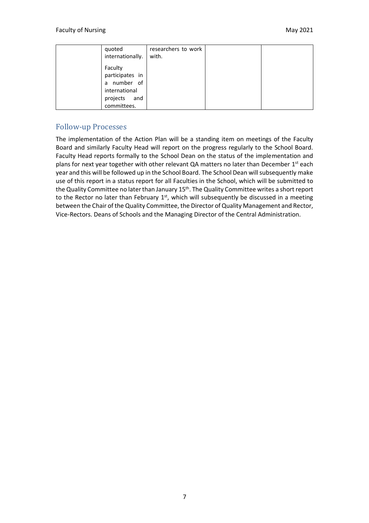| quoted<br>internationally.                                                                   | researchers to work<br>with. |  |
|----------------------------------------------------------------------------------------------|------------------------------|--|
| Faculty<br>participates in<br>a number of<br>international<br>projects<br>and<br>committees. |                              |  |

#### Follow-up Processes

The implementation of the Action Plan will be a standing item on meetings of the Faculty Board and similarly Faculty Head will report on the progress regularly to the School Board. Faculty Head reports formally to the School Dean on the status of the implementation and plans for next year together with other relevant QA matters no later than December 1<sup>st</sup> each year and this will be followed up in the School Board. The School Dean will subsequently make use of this report in a status report for all Faculties in the School, which will be submitted to the Quality Committee no later than January 15<sup>th</sup>. The Quality Committee writes a short report to the Rector no later than February  $1<sup>st</sup>$ , which will subsequently be discussed in a meeting between the Chair of the Quality Committee, the Director of Quality Management and Rector, Vice-Rectors. Deans of Schools and the Managing Director of the Central Administration.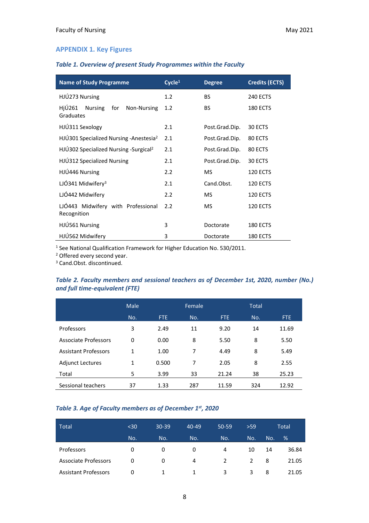#### **APPENDIX 1. Key Figures**

#### *Table 1. Overview of present Study Programmes within the Faculty*

| <b>Name of Study Programme</b>                              | Cycle <sup>1</sup> | <b>Degree</b>  | <b>Credits (ECTS)</b> |  |
|-------------------------------------------------------------|--------------------|----------------|-----------------------|--|
| HJÚ273 Nursing                                              | 1.2                | <b>BS</b>      | <b>240 ECTS</b>       |  |
| HjÚ261<br><b>Nursing</b><br>for<br>Non-Nursing<br>Graduates | 1.2                | BS.            | <b>180 ECTS</b>       |  |
| HJÚ311 Sexology                                             | 2.1                | Post.Grad.Dip. | 30 ECTS               |  |
| HJÚ301 Specialized Nursing - Anestesia <sup>2</sup>         | 2.1                | Post.Grad.Dip. | 80 ECTS               |  |
| HJÚ302 Specialized Nursing -Surgical <sup>2</sup>           | 2.1                | Post.Grad.Dip. | 80 ECTS               |  |
| HJÚ312 Specialized Nursing                                  | 2.1                | Post.Grad.Dip. | 30 ECTS               |  |
| HJÚ446 Nursing                                              | 2.2                | <b>MS</b>      | <b>120 ECTS</b>       |  |
| LJÓ341 Midwifery <sup>3</sup>                               | 2.1                | Cand.Obst.     | <b>120 ECTS</b>       |  |
| LJÓ442 Midwifery                                            | 2.2                | <b>MS</b>      | <b>120 ECTS</b>       |  |
| LJÓ443 Midwifery with Professional<br>Recognition           | 2.2                | <b>MS</b>      | <b>120 ECTS</b>       |  |
| HJÚ561 Nursing                                              | 3                  | Doctorate      | <b>180 ECTS</b>       |  |
| HJÚ562 Midwifery                                            | 3                  | Doctorate      | <b>180 ECTS</b>       |  |

<sup>1</sup> See National Qualification Framework for Higher Education No. 530/2011.

<sup>2</sup> Offered every second year.

<sup>3</sup> Cand.Obst. discontinued.

#### *Table 2. Faculty members and sessional teachers as of December 1st, 2020, number (No.) and full time-equivalent (FTE)*

|                             | Male |            | Female |       | <b>Total</b> |       |
|-----------------------------|------|------------|--------|-------|--------------|-------|
|                             | No.  | <b>FTE</b> | No.    | FTE.  | No.          | FTE   |
| Professors                  | 3    | 2.49       | 11     | 9.20  | 14           | 11.69 |
| Associate Professors        | 0    | 0.00       | 8      | 5.50  | 8            | 5.50  |
| <b>Assistant Professors</b> | 1    | 1.00       | 7      | 4.49  | 8            | 5.49  |
| <b>Adjunct Lectures</b>     | 1    | 0.500      | 7      | 2.05  | 8            | 2.55  |
| Total                       | 5    | 3.99       | 33     | 21.24 | 38           | 25.23 |
| Sessional teachers          | 37   | 1.33       | 287    | 11.59 | 324          | 12.92 |

#### *Table 3. Age of Faculty members as of December 1st , 2020*

| Total                       | $30$ | $30 - 39$ | $40 - 49$ | 50-59 | >59 |     | Total |
|-----------------------------|------|-----------|-----------|-------|-----|-----|-------|
|                             | No.  | No.       | No.       | No.   | No. | No. | $\%$  |
| Professors                  | 0    | 0         | 0         | 4     | 10  | 14  | 36.84 |
| <b>Associate Professors</b> | 0    | 0         | 4         | 2     | 2   | 8   | 21.05 |
| <b>Assistant Professors</b> | 0    |           |           | 3     | 3   | 8   | 21.05 |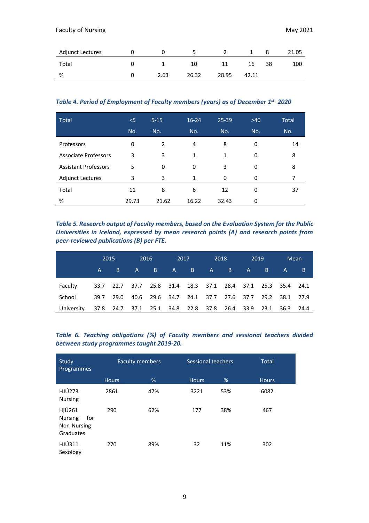| Adjunct Lectures |      |       |       |       |    | 21.05 |
|------------------|------|-------|-------|-------|----|-------|
| Total            |      | 10    |       | 16    | 38 | 100   |
| %                | 2.63 | 26.32 | 28.95 | 42.11 |    |       |

*Table 4. Period of Employment of Faculty members (years) as of December 1st 2020*

| <b>Total</b>                | $<$ 5 | $5 - 15$       | $16 - 24$ | 25-39 | $>40$ | <b>Total</b> |
|-----------------------------|-------|----------------|-----------|-------|-------|--------------|
|                             | No.   | No.            | No.       | No.   | No.   | No.          |
| Professors                  | 0     | $\mathfrak{p}$ | 4         | 8     | 0     | 14           |
| <b>Associate Professors</b> | 3     | 3              | 1         | 1     | 0     | 8            |
| <b>Assistant Professors</b> | 5     | 0              | 0         | 3     | 0     | 8            |
| <b>Adjunct Lectures</b>     | 3     | 3              | 1         | 0     | 0     |              |
| Total                       | 11    | 8              | 6         | 12    | 0     | 37           |
| %                           | 29.73 | 21.62          | 16.22     | 32.43 | 0     |              |

*Table 5. Research output of Faculty members, based on the Evaluation System for the Public Universities in Iceland, expressed by mean research points (A) and research points from peer-reviewed publications (B) per FTE.*

|            | 2015 |                                                             | 2016 |         |                   | 2017<br>2018                                      |       | 2019 |                   | Mean |              |   |
|------------|------|-------------------------------------------------------------|------|---------|-------------------|---------------------------------------------------|-------|------|-------------------|------|--------------|---|
|            | A,   | B.                                                          |      | $A \tB$ | $A \qquad \qquad$ |                                                   | B A B |      | $A \qquad \qquad$ | B.   | $\mathsf{A}$ | B |
| Faculty    |      | 33.7 22.7 37.7 25.8 31.4 18.3 37.1 28.4 37.1 25.3 35.4 24.1 |      |         |                   |                                                   |       |      |                   |      |              |   |
| School     | 39.7 | 29.0                                                        |      |         |                   | 40.6 29.6 34.7 24.1 37.7 27.6 37.7 29.2 38.1 27.9 |       |      |                   |      |              |   |
| University |      | 37.8 24.7 37.1 25.1 34.8 22.8 37.8 26.4 33.9 23.1           |      |         |                   |                                                   |       |      |                   |      | 36.3 24.4    |   |

|  | Table 6. Teaching obligations (%) of Faculty members and sessional teachers divided |  |  |  |  |
|--|-------------------------------------------------------------------------------------|--|--|--|--|
|  | between study programmes taught 2019-20.                                            |  |  |  |  |

| Study<br>Programmes                                         | <b>Faculty members</b> |     | Sessional teachers |     | <b>Total</b> |
|-------------------------------------------------------------|------------------------|-----|--------------------|-----|--------------|
|                                                             | <b>Hours</b>           | %   | <b>Hours</b>       | %   | <b>Hours</b> |
| HJÚ273<br><b>Nursing</b>                                    | 2861                   | 47% | 3221               | 53% | 6082         |
| HjÚ261<br><b>Nursing</b><br>for<br>Non-Nursing<br>Graduates | 290                    | 62% | 177                | 38% | 467          |
| HJÚ311<br>Sexology                                          | 270                    | 89% | 32                 | 11% | 302          |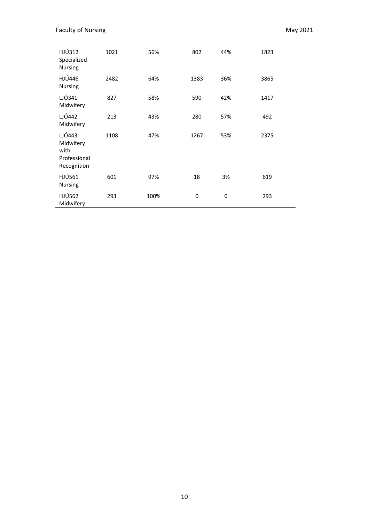| HJÚ312<br>Specialized<br>Nursing                           | 1021 | 56%  | 802  | 44% | 1823 |
|------------------------------------------------------------|------|------|------|-----|------|
| <b>HJÚ446</b><br>Nursing                                   | 2482 | 64%  | 1383 | 36% | 3865 |
| LJÓ341<br>Midwifery                                        | 827  | 58%  | 590  | 42% | 1417 |
| <b>LJÓ442</b><br>Midwifery                                 | 213  | 43%  | 280  | 57% | 492  |
| LJÓ443<br>Midwifery<br>with<br>Professional<br>Recognition | 1108 | 47%  | 1267 | 53% | 2375 |
| HJÚ561<br>Nursing                                          | 601  | 97%  | 18   | 3%  | 619  |
| <b>HJÚ562</b><br>Midwifery                                 | 293  | 100% | 0    | 0   | 293  |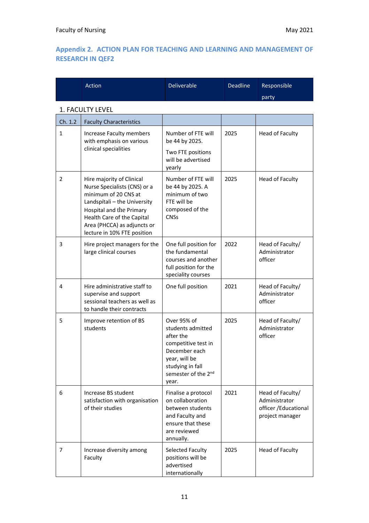#### **Appendix 2. ACTION PLAN FOR TEACHING AND LEARNING AND MANAGEMENT OF RESEARCH IN QEF2**

|              | Action                                                                                                                                                                                                                                    | Deliverable                                                                                                                                                | <b>Deadline</b> | Responsible                                                                   |
|--------------|-------------------------------------------------------------------------------------------------------------------------------------------------------------------------------------------------------------------------------------------|------------------------------------------------------------------------------------------------------------------------------------------------------------|-----------------|-------------------------------------------------------------------------------|
|              |                                                                                                                                                                                                                                           |                                                                                                                                                            |                 | party                                                                         |
|              | 1. FACULTY LEVEL                                                                                                                                                                                                                          |                                                                                                                                                            |                 |                                                                               |
| Ch. 1.2      | <b>Faculty Characteristics</b>                                                                                                                                                                                                            |                                                                                                                                                            |                 |                                                                               |
| $\mathbf{1}$ | Increase Faculty members<br>with emphasis on various<br>clinical specialities                                                                                                                                                             | Number of FTE will<br>be 44 by 2025.<br>Two FTE positions<br>will be advertised<br>yearly                                                                  | 2025            | Head of Faculty                                                               |
| 2            | Hire majority of Clinical<br>Nurse Specialists (CNS) or a<br>minimum of 20 CNS at<br>Landspítali - the University<br>Hospital and the Primary<br>Health Care of the Capital<br>Area (PHCCA) as adjuncts or<br>lecture in 10% FTE position | Number of FTE will<br>be 44 by 2025. A<br>minimum of two<br>FTE will be<br>composed of the<br><b>CNSs</b>                                                  | 2025            | Head of Faculty                                                               |
| 3            | Hire project managers for the<br>large clinical courses                                                                                                                                                                                   | One full position for<br>the fundamental<br>courses and another<br>full position for the<br>speciality courses                                             | 2022            | Head of Faculty/<br>Administrator<br>officer                                  |
| 4            | Hire administrative staff to<br>supervise and support<br>sessional teachers as well as<br>to handle their contracts                                                                                                                       | One full position                                                                                                                                          | 2021            | Head of Faculty/<br>Administrator<br>officer                                  |
| 5            | Improve retention of BS<br>students                                                                                                                                                                                                       | Over 95% of<br>students admitted<br>after the<br>competitive test in<br>December each<br>year, will be<br>studying in fall<br>semester of the 2nd<br>year. | 2025            | Head of Faculty/<br>Administrator<br>officer                                  |
| 6            | Increase BS student<br>satisfaction with organisation<br>of their studies                                                                                                                                                                 | Finalise a protocol<br>on collaboration<br>between students<br>and Faculty and<br>ensure that these<br>are reviewed<br>annually.                           | 2021            | Head of Faculty/<br>Administrator<br>officer / Educational<br>project manager |
| 7            | Increase diversity among<br>Faculty                                                                                                                                                                                                       | Selected Faculty<br>positions will be<br>advertised<br>internationally                                                                                     | 2025            | <b>Head of Faculty</b>                                                        |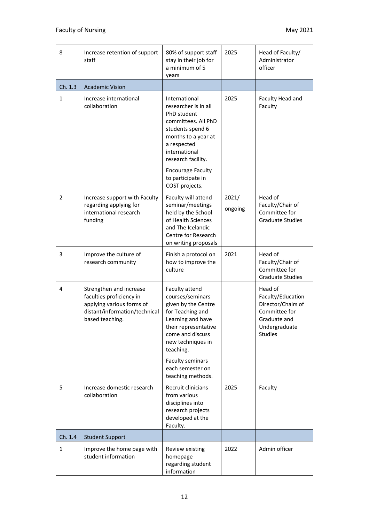| 8            | Increase retention of support<br>staff                                                                                               | 80% of support staff<br>stay in their job for<br>a minimum of 5<br>years                                                                                                                             | 2025             | Head of Faculty/<br>Administrator<br>officer                                                                           |
|--------------|--------------------------------------------------------------------------------------------------------------------------------------|------------------------------------------------------------------------------------------------------------------------------------------------------------------------------------------------------|------------------|------------------------------------------------------------------------------------------------------------------------|
| Ch. 1.3      | <b>Academic Vision</b>                                                                                                               |                                                                                                                                                                                                      |                  |                                                                                                                        |
| $\mathbf{1}$ | Increase international<br>collaboration                                                                                              | International<br>researcher is in all<br>PhD student<br>committees. All PhD<br>students spend 6<br>months to a year at<br>a respected<br>international<br>research facility.                         | 2025             | Faculty Head and<br>Faculty                                                                                            |
|              |                                                                                                                                      | <b>Encourage Faculty</b><br>to participate in<br>COST projects.                                                                                                                                      |                  |                                                                                                                        |
| 2            | Increase support with Faculty<br>regarding applying for<br>international research<br>funding                                         | Faculty will attend<br>seminar/meetings<br>held by the School<br>of Health Sciences<br>and The Icelandic<br>Centre for Research<br>on writing proposals                                              | 2021/<br>ongoing | Head of<br>Faculty/Chair of<br>Committee for<br><b>Graduate Studies</b>                                                |
| 3            | Improve the culture of<br>research community                                                                                         | Finish a protocol on<br>how to improve the<br>culture                                                                                                                                                | 2021             | Head of<br>Faculty/Chair of<br>Committee for<br><b>Graduate Studies</b>                                                |
| 4            | Strengthen and increase<br>faculties proficiency in<br>applying various forms of<br>distant/information/technical<br>based teaching. | Faculty attend<br>courses/seminars<br>given by the Centre<br>for Teaching and<br>Learning and have<br>their representative<br>come and discuss<br>new techniques in<br>teaching.<br>Faculty seminars |                  | Head of<br>Faculty/Education<br>Director/Chairs of<br>Committee for<br>Graduate and<br>Undergraduate<br><b>Studies</b> |
|              |                                                                                                                                      | each semester on<br>teaching methods.                                                                                                                                                                |                  |                                                                                                                        |
| 5            | Increase domestic research<br>collaboration                                                                                          | Recruit clinicians<br>from various<br>disciplines into<br>research projects<br>developed at the<br>Faculty.                                                                                          | 2025             | Faculty                                                                                                                |
| Ch. 1.4      | <b>Student Support</b>                                                                                                               |                                                                                                                                                                                                      |                  |                                                                                                                        |
| 1            | Improve the home page with<br>student information                                                                                    | Review existing<br>homepage<br>regarding student<br>information                                                                                                                                      | 2022             | Admin officer                                                                                                          |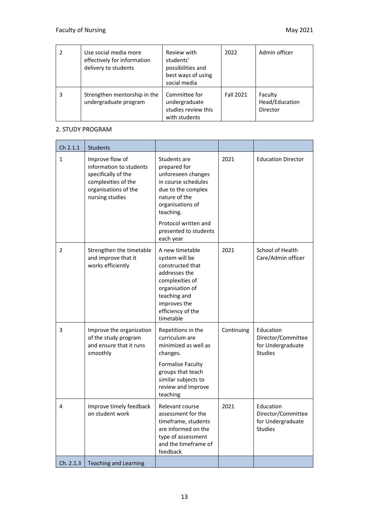|   | Use social media more<br>effectively for information<br>delivery to students | Review with<br>students'<br>possibilities and<br>best ways of using<br>social media | 2022             | Admin officer                         |
|---|------------------------------------------------------------------------------|-------------------------------------------------------------------------------------|------------------|---------------------------------------|
| 3 | Strengthen mentorship in the<br>undergraduate program                        | Committee for<br>undergraduate<br>studies review this<br>with students              | <b>Fall 2021</b> | Faculty<br>Head/Education<br>Director |

#### 2. STUDY PROGRAM

| Ch 2.1.1     | <b>Students</b>                                                                                                                     |                                                                                                                                                                                |            |                                                                        |
|--------------|-------------------------------------------------------------------------------------------------------------------------------------|--------------------------------------------------------------------------------------------------------------------------------------------------------------------------------|------------|------------------------------------------------------------------------|
| $\mathbf{1}$ | Improve flow of<br>information to students<br>specifically of the<br>complexities of the<br>organisations of the<br>nursing studies | Students are<br>prepared for<br>unforeseen changes<br>in course schedules<br>due to the complex<br>nature of the<br>organisations of<br>teaching.                              | 2021       | <b>Education Director</b>                                              |
|              |                                                                                                                                     | Protocol written and<br>presented to students<br>each year                                                                                                                     |            |                                                                        |
| 2            | Strengthen the timetable<br>and improve that it<br>works efficiently                                                                | A new timetable<br>system will be<br>constructed that<br>addresses the<br>complexities of<br>organisation of<br>teaching and<br>improves the<br>efficiency of the<br>timetable | 2021       | School of Health<br>Care/Admin officer                                 |
| 3            | Improve the organization<br>of the study program<br>and ensure that it runs<br>smoothly                                             | Repetitions in the<br>curriculum are<br>minimized as well as<br>changes.<br>Formalise Faculty<br>groups that teach<br>similar subjects to<br>review and improve<br>teaching    | Continuing | Education<br>Director/Committee<br>for Undergraduate<br><b>Studies</b> |
| 4            | Improve timely feedback<br>on student work                                                                                          | Relevant course<br>assessment for the<br>timeframe, students<br>are informed on the<br>type of assessment<br>and the timeframe of<br>feedback                                  | 2021       | Education<br>Director/Committee<br>for Undergraduate<br><b>Studies</b> |
| Ch. 2.1.3    | <b>Teaching and Learning</b>                                                                                                        |                                                                                                                                                                                |            |                                                                        |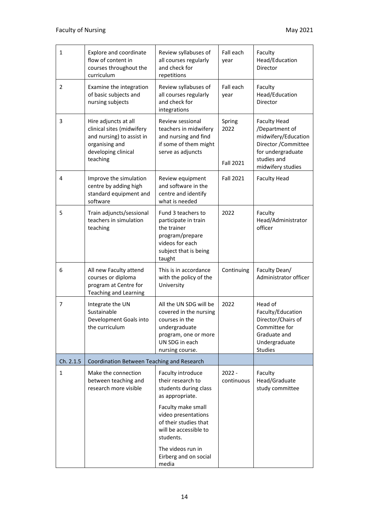| 1              | Explore and coordinate<br>flow of content in<br>courses throughout the<br>curriculum                                                | Review syllabuses of<br>all courses regularly<br>and check for<br>repetitions                                                                                                                  | Fall each<br>year                  | Faculty<br>Head/Education<br>Director                                                                                                         |
|----------------|-------------------------------------------------------------------------------------------------------------------------------------|------------------------------------------------------------------------------------------------------------------------------------------------------------------------------------------------|------------------------------------|-----------------------------------------------------------------------------------------------------------------------------------------------|
| 2              | Examine the integration<br>of basic subjects and<br>nursing subjects                                                                | Review syllabuses of<br>all courses regularly<br>and check for<br>integrations                                                                                                                 | Fall each<br>year                  | Faculty<br>Head/Education<br>Director                                                                                                         |
| 3              | Hire adjuncts at all<br>clinical sites (midwifery<br>and nursing) to assist in<br>organising and<br>developing clinical<br>teaching | Review sessional<br>teachers in midwifery<br>and nursing and find<br>if some of them might<br>serve as adjuncts                                                                                | Spring<br>2022<br><b>Fall 2021</b> | <b>Faculty Head</b><br>/Department of<br>midwifery/Education<br>Director / Committee<br>for undergraduate<br>studies and<br>midwifery studies |
| 4              | Improve the simulation<br>centre by adding high<br>standard equipment and<br>software                                               | Review equipment<br>and software in the<br>centre and identify<br>what is needed                                                                                                               | <b>Fall 2021</b>                   | <b>Faculty Head</b>                                                                                                                           |
| 5              | Train adjuncts/sessional<br>teachers in simulation<br>teaching                                                                      | Fund 3 teachers to<br>participate in train<br>the trainer<br>program/prepare<br>videos for each<br>subject that is being<br>taught                                                             | 2022                               | Faculty<br>Head/Administrator<br>officer                                                                                                      |
| 6              | All new Faculty attend<br>courses or diploma<br>program at Centre for<br><b>Teaching and Learning</b>                               | This is in accordance<br>with the policy of the<br>University                                                                                                                                  | Continuing                         | Faculty Dean/<br>Administrator officer                                                                                                        |
| $\overline{7}$ | Integrate the UN<br>Sustainable<br>Development Goals into<br>the curriculum                                                         | All the UN SDG will be<br>covered in the nursing<br>courses in the<br>undergraduate<br>program, one or more<br>UN SDG in each<br>nursing course.                                               | 2022                               | Head of<br>Faculty/Education<br>Director/Chairs of<br>Committee for<br>Graduate and<br>Undergraduate<br><b>Studies</b>                        |
| Ch. 2.1.5      | Coordination Between Teaching and Research                                                                                          |                                                                                                                                                                                                |                                    |                                                                                                                                               |
| 1              | Make the connection<br>between teaching and<br>research more visible                                                                | Faculty introduce<br>their research to<br>students during class<br>as appropriate.<br>Faculty make small<br>video presentations<br>of their studies that<br>will be accessible to<br>students. | $2022 -$<br>continuous             | Faculty<br>Head/Graduate<br>study committee                                                                                                   |
|                |                                                                                                                                     | The videos run in<br>Eirberg and on social<br>media                                                                                                                                            |                                    |                                                                                                                                               |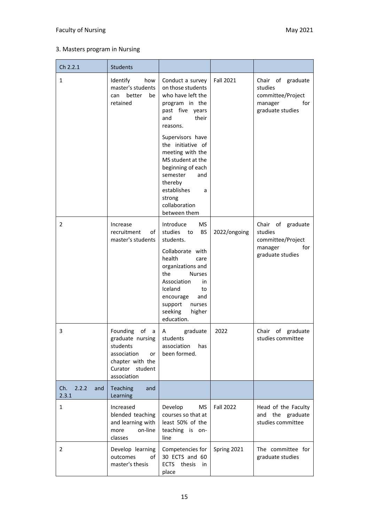#### Faculty of Nursing May 2021

#### 3. Masters program in Nursing

| Ch 2.2.1                     | <b>Students</b>                                                                                                                  |                                                                                                                                                                                                                                                                                                                                 |                  |                                                                                         |
|------------------------------|----------------------------------------------------------------------------------------------------------------------------------|---------------------------------------------------------------------------------------------------------------------------------------------------------------------------------------------------------------------------------------------------------------------------------------------------------------------------------|------------------|-----------------------------------------------------------------------------------------|
| 1                            | Identify<br>how<br>master's students<br>better<br>be<br>can<br>retained                                                          | Conduct a survey<br>on those students<br>who have left the<br>program in the<br>past five years<br>their<br>and<br>reasons.<br>Supervisors have<br>the initiative of<br>meeting with the<br>MS student at the<br>beginning of each<br>semester<br>and<br>thereby<br>establishes<br>a<br>strong<br>collaboration<br>between them | <b>Fall 2021</b> | Chair of graduate<br>studies<br>committee/Project<br>for<br>manager<br>graduate studies |
| 2                            | Increase<br>recruitment<br>οf<br>master's students                                                                               | Introduce<br>MS<br>studies<br>to<br><b>BS</b><br>students.<br>Collaborate with<br>health<br>care<br>organizations and<br>the<br><b>Nurses</b><br>Association<br>in.<br>Iceland<br>to<br>encourage<br>and<br>support<br>nurses<br>seeking<br>higher<br>education.                                                                | 2022/ongoing     | Chair of graduate<br>studies<br>committee/Project<br>manager<br>for<br>graduate studies |
| 3                            | Founding<br>οf<br>a a<br>graduate nursing<br>students<br>association<br>or<br>chapter with the<br>Curator student<br>association | graduate<br>A<br>students<br>association<br>has<br>been formed.                                                                                                                                                                                                                                                                 | 2022             | Chair of graduate<br>studies committee                                                  |
| Ch.<br>2.2.2<br>and<br>2.3.1 | Teaching<br>and<br>Learning                                                                                                      |                                                                                                                                                                                                                                                                                                                                 |                  |                                                                                         |
| $\mathbf{1}$                 | Increased<br>blended teaching<br>and learning with<br>on-line<br>more<br>classes                                                 | Develop<br>MS<br>courses so that at<br>least 50% of the<br>teaching is on-<br>line                                                                                                                                                                                                                                              | <b>Fall 2022</b> | Head of the Faculty<br>and the graduate<br>studies committee                            |
| $\overline{2}$               | Develop learning<br>of<br>outcomes<br>master's thesis                                                                            | Competencies for<br>30 ECTS and 60<br>ECTS thesis<br>in<br>place                                                                                                                                                                                                                                                                | Spring 2021      | The committee for<br>graduate studies                                                   |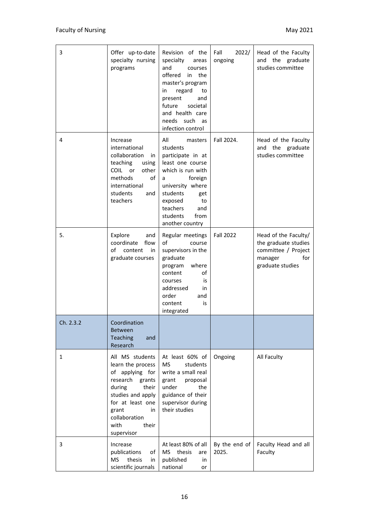| 3         | Offer up-to-date<br>specialty nursing<br>programs                                                                                                                                                        | Revision of the<br>specialty<br>areas<br>and<br>courses<br>offered<br>in<br>the<br>master's program<br>regard<br>in<br>to<br>present<br>and<br>future<br>societal<br>and health care<br>needs<br>such<br>as<br>infection control | 2022/<br>Fall<br>ongoing | Head of the Faculty<br>and the graduate<br>studies committee                                              |
|-----------|----------------------------------------------------------------------------------------------------------------------------------------------------------------------------------------------------------|----------------------------------------------------------------------------------------------------------------------------------------------------------------------------------------------------------------------------------|--------------------------|-----------------------------------------------------------------------------------------------------------|
| 4         | Increase<br>international<br>collaboration<br>in<br>teaching<br>using<br>COIL or<br>other<br>methods<br>of<br>international<br>students<br>and<br>teachers                                               | All<br>masters<br>students<br>participate in at<br>least one course<br>which is run with<br>foreign<br>a<br>university where<br>students<br>get<br>exposed<br>to<br>teachers<br>and<br>students<br>from<br>another country       | Fall 2024.               | Head of the Faculty<br>and the graduate<br>studies committee                                              |
| 5.        | Explore<br>and<br>coordinate<br>flow<br>of<br>content<br>in<br>graduate courses                                                                                                                          | Regular meetings<br>of<br>course<br>supervisors in the<br>graduate<br>where<br>program<br>of<br>content<br>courses<br>is<br>addressed<br>in<br>order<br>and<br>content<br>is<br>integrated                                       | <b>Fall 2022</b>         | Head of the Faculty/<br>the graduate studies<br>committee / Project<br>for<br>manager<br>graduate studies |
| Ch. 2.3.2 | Coordination<br><b>Between</b><br><b>Teaching</b><br>and<br>Research                                                                                                                                     |                                                                                                                                                                                                                                  |                          |                                                                                                           |
| 1         | All MS students<br>learn the process<br>of applying for<br>research<br>grants<br>during<br>their<br>studies and apply<br>for at least one<br>grant<br>in<br>collaboration<br>with<br>their<br>supervisor | At least 60% of<br><b>MS</b><br>students<br>write a small real<br>grant<br>proposal<br>under<br>the<br>guidance of their<br>supervisor during<br>their studies                                                                   | Ongoing                  | All Faculty                                                                                               |
| 3         | Increase<br>publications<br>of<br>thesis<br><b>MS</b><br>in<br>scientific journals                                                                                                                       | At least 80% of all<br>thesis<br>MS.<br>are<br>published<br>in.<br>national<br>or                                                                                                                                                | By the end of<br>2025.   | Faculty Head and all<br>Faculty                                                                           |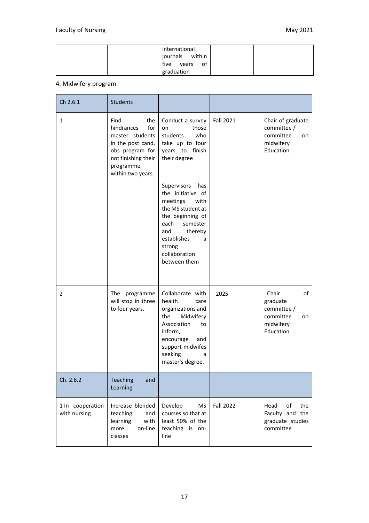|  | international    |  |
|--|------------------|--|
|  | journals within  |  |
|  | five years<br>of |  |
|  | graduation       |  |

#### 4. Midwifery program

| Ch 2.6.1                         | <b>Students</b>                                                                                                                                      |                                                                                                                                                                                                           |                  |                                                                                     |
|----------------------------------|------------------------------------------------------------------------------------------------------------------------------------------------------|-----------------------------------------------------------------------------------------------------------------------------------------------------------------------------------------------------------|------------------|-------------------------------------------------------------------------------------|
| $\mathbf{1}$                     | Find<br>the<br>for<br>hindrances<br>master students<br>in the post cand.<br>obs program for<br>not finishing their<br>programme<br>within two years. | Conduct a survey<br>those<br>on<br>students<br>who<br>take up to four<br>years to finish<br>their degree                                                                                                  | <b>Fall 2021</b> | Chair of graduate<br>committee /<br>committee<br>on<br>midwifery<br>Education       |
|                                  |                                                                                                                                                      | Supervisors<br>has<br>the initiative of<br>meetings<br>with<br>the MS student at<br>the beginning of<br>semester<br>each<br>thereby<br>and<br>establishes<br>a<br>strong<br>collaboration<br>between them |                  |                                                                                     |
| 2                                | The programme<br>will stop in three<br>to four years.                                                                                                | Collaborate with<br>health<br>care<br>organizations and<br>Midwifery<br>the<br>Association<br>to<br>inform,<br>encourage<br>and<br>support midwifes<br>seeking<br>a<br>master's degree.                   | 2025             | Chair<br>of<br>graduate<br>committee /<br>committee<br>on<br>midwifery<br>Education |
| Ch. 2.6.2                        | Teaching<br>and<br>Learning                                                                                                                          |                                                                                                                                                                                                           |                  |                                                                                     |
| 1 In cooperation<br>with nursing | Increase blended<br>teaching<br>and<br>with<br>learning<br>on-line<br>more<br>classes                                                                | Develop<br>MS<br>courses so that at<br>least 50% of the<br>teaching is on-<br>line                                                                                                                        | <b>Fall 2022</b> | of<br>the<br>Head<br>Faculty and the<br>graduate studies<br>committee               |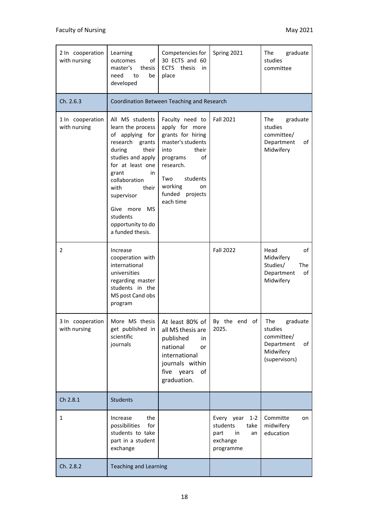| 2 In cooperation<br>with nursing | Learning<br>outcomes<br>οf<br>master's<br>thesis<br>need<br>to<br>be<br>developed                                                                                                                                                                                                          | Competencies for<br>30 ECTS and 60<br>thesis<br><b>ECTS</b><br>in<br>place                                                                                                                      | Spring 2021                                                                            | The<br>graduate<br>studies<br>committee                                                    |
|----------------------------------|--------------------------------------------------------------------------------------------------------------------------------------------------------------------------------------------------------------------------------------------------------------------------------------------|-------------------------------------------------------------------------------------------------------------------------------------------------------------------------------------------------|----------------------------------------------------------------------------------------|--------------------------------------------------------------------------------------------|
| Ch. 2.6.3                        |                                                                                                                                                                                                                                                                                            | Coordination Between Teaching and Research                                                                                                                                                      |                                                                                        |                                                                                            |
| 1 In cooperation<br>with nursing | All MS students<br>learn the process<br>of applying for<br>research<br>grants<br>during<br>their<br>studies and apply<br>for at least one<br>grant<br>in<br>collaboration<br>with<br>their<br>supervisor<br><b>MS</b><br>Give<br>more<br>students<br>opportunity to do<br>a funded thesis. | Faculty need to<br>apply for more<br>grants for hiring<br>master's students<br>their<br>into<br>οf<br>programs<br>research.<br>Two<br>students<br>working<br>on<br>funded projects<br>each time | <b>Fall 2021</b>                                                                       | The<br>graduate<br>studies<br>committee/<br>Department<br>of<br>Midwifery                  |
| 2                                | Increase<br>cooperation with<br>international<br>universities<br>regarding master<br>students in the<br>MS post Cand obs<br>program                                                                                                                                                        |                                                                                                                                                                                                 | <b>Fall 2022</b>                                                                       | Head<br>of<br>Midwifery<br>Studies/<br><b>The</b><br>Department<br>of<br>Midwifery         |
| 3 In cooperation<br>with nursing | get published in<br>scientific<br>journals                                                                                                                                                                                                                                                 | More MS thesis   At least 80% of $\vert$ By the end of<br>all MS thesis are<br>published<br>in<br>national<br>or<br>international<br>journals within<br>five years<br>of<br>graduation.         | 2025.                                                                                  | The<br>graduate<br>studies<br>committee/<br>Department<br>of<br>Midwifery<br>(supervisors) |
| Ch 2.8.1                         | <b>Students</b>                                                                                                                                                                                                                                                                            |                                                                                                                                                                                                 |                                                                                        |                                                                                            |
| 1                                | the<br>Increase<br>possibilities<br>for<br>students to take<br>part in a student<br>exchange                                                                                                                                                                                               |                                                                                                                                                                                                 | Every year<br>$1 - 2$<br>students<br>take<br>an<br>part<br>in<br>exchange<br>programme | Committe<br>on<br>midwifery<br>education                                                   |
| Ch. 2.8.2                        | <b>Teaching and Learning</b>                                                                                                                                                                                                                                                               |                                                                                                                                                                                                 |                                                                                        |                                                                                            |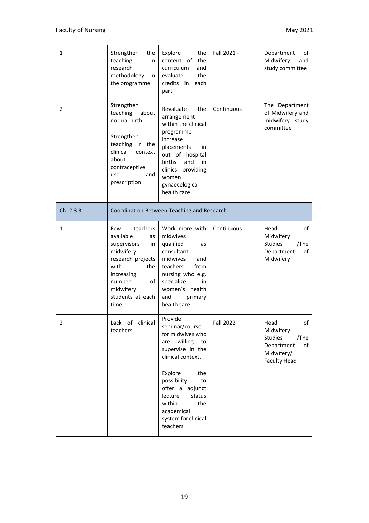| $\mathbf{1}$ | Strengthen<br>the<br>teaching<br>in<br>research<br>methodology<br>in<br>the programme                                                                                           | Explore<br>the<br>content of the<br>curriculum<br>and<br>evaluate<br>the<br>credits in<br>each<br>part                                                                                                                                                          | Fall 2021 -      | Department<br>οf<br>Midwifery<br>and<br>study committee                                                    |
|--------------|---------------------------------------------------------------------------------------------------------------------------------------------------------------------------------|-----------------------------------------------------------------------------------------------------------------------------------------------------------------------------------------------------------------------------------------------------------------|------------------|------------------------------------------------------------------------------------------------------------|
| 2            | Strengthen<br>teaching<br>about<br>normal birth<br>Strengthen<br>teaching in the<br>clinical<br>context<br>about<br>contraceptive<br>use<br>and<br>prescription                 | Revaluate<br>the<br>arrangement<br>within the clinical<br>programme-<br>increase<br>placements<br>in<br>out of hospital<br>births<br>and<br>in<br>clinics providing<br>women<br>gynaecological<br>health care                                                   | Continuous       | The Department<br>of Midwifery and<br>midwifery study<br>committee                                         |
| Ch. 2.8.3    | Coordination Between Teaching and Research                                                                                                                                      |                                                                                                                                                                                                                                                                 |                  |                                                                                                            |
| $\mathbf{1}$ | Few<br>teachers<br>available<br>as<br>supervisors<br>in<br>midwifery<br>research projects<br>with<br>the<br>increasing<br>number<br>of<br>midwifery<br>students at each<br>time | Work more with<br>midwives<br>qualified<br>as<br>consultant<br>midwives<br>and<br>from<br>teachers<br>nursing who e.g.<br>specialize<br>in.<br>women's health<br>and<br>primary<br>health care                                                                  | Continuous       | Head<br>of<br>Midwifery<br><b>Studies</b><br>/The<br>of<br>Department<br>Midwifery                         |
| 2            | Lack of clinical<br>teachers                                                                                                                                                    | Provide<br>seminar/course<br>for midwives who<br>willing<br>to<br>are<br>supervise in the<br>clinical context.<br>Explore<br>the<br>possibility<br>to<br>offer a adjunct<br>lecture<br>status<br>within<br>the<br>academical<br>system for clinical<br>teachers | <b>Fall 2022</b> | Head<br>ot<br>Midwifery<br><b>Studies</b><br>/The<br>Department<br>of<br>Midwifery/<br><b>Faculty Head</b> |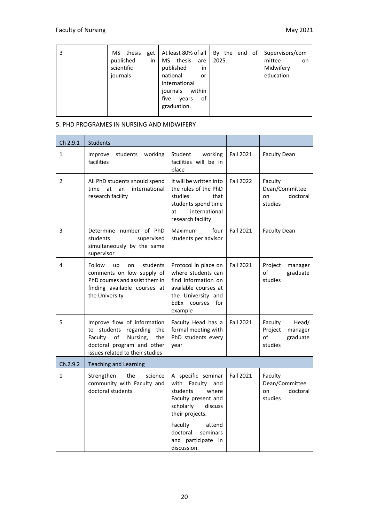| 3 | MS.<br>thesis<br>get<br>published<br>in<br>scientific<br>journals | At least 80% of all<br>thesis<br>MS.<br>are<br>published<br>in<br>national<br>or<br>international<br>within<br>journals<br>five<br>οf<br>vears<br>graduation. | By the end<br>of<br>2025. | Supervisors/com<br>mittee<br><b>on</b><br>Midwifery<br>education. |
|---|-------------------------------------------------------------------|---------------------------------------------------------------------------------------------------------------------------------------------------------------|---------------------------|-------------------------------------------------------------------|
|---|-------------------------------------------------------------------|---------------------------------------------------------------------------------------------------------------------------------------------------------------|---------------------------|-------------------------------------------------------------------|

 $\sim$ 

#### 5. PHD PROGRAMES IN NURSING AND MIDWIFERY

| Ch 2.9.1       | <b>Students</b>                                                                                                                                                     |                                                                                                                                                                                                                    |                  |                                                                     |
|----------------|---------------------------------------------------------------------------------------------------------------------------------------------------------------------|--------------------------------------------------------------------------------------------------------------------------------------------------------------------------------------------------------------------|------------------|---------------------------------------------------------------------|
| $\mathbf{1}$   | Improve<br>students<br>working<br>facilities                                                                                                                        | Student<br>working<br>facilities will be in<br>place                                                                                                                                                               | <b>Fall 2021</b> | <b>Faculty Dean</b>                                                 |
| $\overline{2}$ | All PhD students should spend<br>international<br>at<br>an<br>time<br>research facility                                                                             | It will be written into<br>the rules of the PhD<br>studies<br>that<br>students spend time<br>international<br>at<br>research facility                                                                              | <b>Fall 2022</b> | Faculty<br>Dean/Committee<br>doctoral<br>on<br>studies              |
| 3              | Determine number of PhD<br>students<br>supervised<br>simultaneously by the same<br>supervisor                                                                       | four<br>Maximum<br>students per advisor                                                                                                                                                                            | <b>Fall 2021</b> | <b>Faculty Dean</b>                                                 |
| 4              | Follow<br>students<br>up<br>on<br>comments on low supply of<br>PhD courses and assist them in<br>finding available courses at<br>the University                     | Protocol in place on<br>where students can<br>find information on<br>available courses at<br>the University and<br>EdEx courses<br>for<br>example                                                                  | <b>Fall 2021</b> | Project<br>manager<br>of<br>graduate<br>studies                     |
| 5              | Improve flow of information<br>to students<br>regarding<br>the<br>Faculty<br>of<br>Nursing,<br>the<br>doctoral program and other<br>issues related to their studies | Faculty Head has a<br>formal meeting with<br>PhD students every<br>year                                                                                                                                            | <b>Fall 2021</b> | Head/<br>Faculty<br>Project<br>manager<br>of<br>graduate<br>studies |
| Ch.2.9.2       | <b>Teaching and Learning</b>                                                                                                                                        |                                                                                                                                                                                                                    |                  |                                                                     |
| $\mathbf{1}$   | the<br>Strengthen<br>science<br>community with Faculty and<br>doctoral students                                                                                     | A specific seminar<br>Faculty and<br>with<br>students<br>where<br>Faculty present and<br>scholarly<br>discuss<br>their projects.<br>Faculty<br>attend<br>doctoral<br>seminars<br>and participate in<br>discussion. | <b>Fall 2021</b> | Faculty<br>Dean/Committee<br>doctoral<br>on<br>studies              |